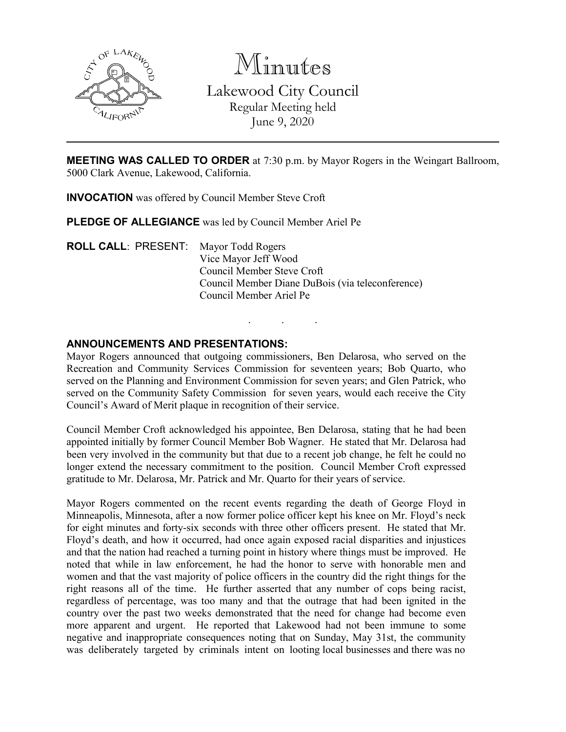

Minutes Lakewood City Council Regular Meeting held June 9, 2020

**MEETING WAS CALLED TO ORDER** at 7:30 p.m. by Mayor Rogers in the Weingart Ballroom, 5000 Clark Avenue, Lakewood, California.

**INVOCATION** was offered by Council Member Steve Croft

**PLEDGE OF ALLEGIANCE** was led by Council Member Ariel Pe

**ROLL CALL**: PRESENT: Mayor Todd Rogers Vice Mayor Jeff Wood Council Member Steve Croft Council Member Diane DuBois (via teleconference) Council Member Ariel Pe

## **ANNOUNCEMENTS AND PRESENTATIONS:**

Mayor Rogers announced that outgoing commissioners, Ben Delarosa, who served on the Recreation and Community Services Commission for seventeen years; Bob Quarto, who served on the Planning and Environment Commission for seven years; and Glen Patrick, who served on the Community Safety Commission for seven years, would each receive the City Council's Award of Merit plaque in recognition of their service.

. . .

Council Member Croft acknowledged his appointee, Ben Delarosa, stating that he had been appointed initially by former Council Member Bob Wagner. He stated that Mr. Delarosa had been very involved in the community but that due to a recent job change, he felt he could no longer extend the necessary commitment to the position. Council Member Croft expressed gratitude to Mr. Delarosa, Mr. Patrick and Mr. Quarto for their years of service.

Mayor Rogers commented on the recent events regarding the death of George Floyd in Minneapolis, Minnesota, after a now former police officer kept his knee on Mr. Floyd's neck for eight minutes and forty-six seconds with three other officers present. He stated that Mr. Floyd's death, and how it occurred, had once again exposed racial disparities and injustices and that the nation had reached a turning point in history where things must be improved. He noted that while in law enforcement, he had the honor to serve with honorable men and women and that the vast majority of police officers in the country did the right things for the right reasons all of the time. He further asserted that any number of cops being racist, regardless of percentage, was too many and that the outrage that had been ignited in the country over the past two weeks demonstrated that the need for change had become even more apparent and urgent. He reported that Lakewood had not been immune to some negative and inappropriate consequences noting that on Sunday, May 31st, the community was deliberately targeted by criminals intent on looting local businesses and there was no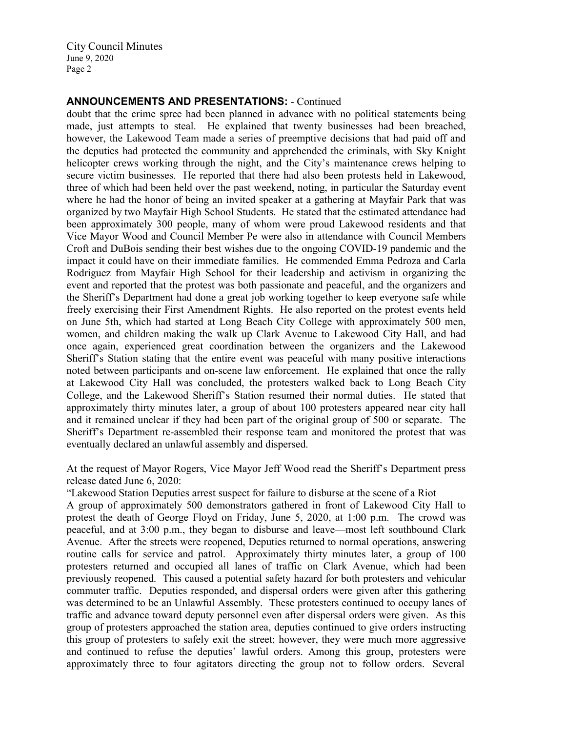## **ANNOUNCEMENTS AND PRESENTATIONS:** - Continued

doubt that the crime spree had been planned in advance with no political statements being made, just attempts to steal. He explained that twenty businesses had been breached, however, the Lakewood Team made a series of preemptive decisions that had paid off and the deputies had protected the community and apprehended the criminals, with Sky Knight helicopter crews working through the night, and the City's maintenance crews helping to secure victim businesses. He reported that there had also been protests held in Lakewood, three of which had been held over the past weekend, noting, in particular the Saturday event where he had the honor of being an invited speaker at a gathering at Mayfair Park that was organized by two Mayfair High School Students. He stated that the estimated attendance had been approximately 300 people, many of whom were proud Lakewood residents and that Vice Mayor Wood and Council Member Pe were also in attendance with Council Members Croft and DuBois sending their best wishes due to the ongoing COVID-19 pandemic and the impact it could have on their immediate families. He commended Emma Pedroza and Carla Rodriguez from Mayfair High School for their leadership and activism in organizing the event and reported that the protest was both passionate and peaceful, and the organizers and the Sheriff's Department had done a great job working together to keep everyone safe while freely exercising their First Amendment Rights. He also reported on the protest events held on June 5th, which had started at Long Beach City College with approximately 500 men, women, and children making the walk up Clark Avenue to Lakewood City Hall, and had once again, experienced great coordination between the organizers and the Lakewood Sheriff's Station stating that the entire event was peaceful with many positive interactions noted between participants and on-scene law enforcement. He explained that once the rally at Lakewood City Hall was concluded, the protesters walked back to Long Beach City College, and the Lakewood Sheriff's Station resumed their normal duties. He stated that approximately thirty minutes later, a group of about 100 protesters appeared near city hall and it remained unclear if they had been part of the original group of 500 or separate. The Sheriff's Department re-assembled their response team and monitored the protest that was eventually declared an unlawful assembly and dispersed.

At the request of Mayor Rogers, Vice Mayor Jeff Wood read the Sheriff's Department press release dated June 6, 2020:

"Lakewood Station Deputies arrest suspect for failure to disburse at the scene of a Riot

A group of approximately 500 demonstrators gathered in front of Lakewood City Hall to protest the death of George Floyd on Friday, June 5, 2020, at 1:00 p.m. The crowd was peaceful, and at 3:00 p.m., they began to disburse and leave—most left southbound Clark Avenue. After the streets were reopened, Deputies returned to normal operations, answering routine calls for service and patrol. Approximately thirty minutes later, a group of 100 protesters returned and occupied all lanes of traffic on Clark Avenue, which had been previously reopened. This caused a potential safety hazard for both protesters and vehicular commuter traffic. Deputies responded, and dispersal orders were given after this gathering was determined to be an Unlawful Assembly. These protesters continued to occupy lanes of traffic and advance toward deputy personnel even after dispersal orders were given. As this group of protesters approached the station area, deputies continued to give orders instructing this group of protesters to safely exit the street; however, they were much more aggressive and continued to refuse the deputies' lawful orders. Among this group, protesters were approximately three to four agitators directing the group not to follow orders. Several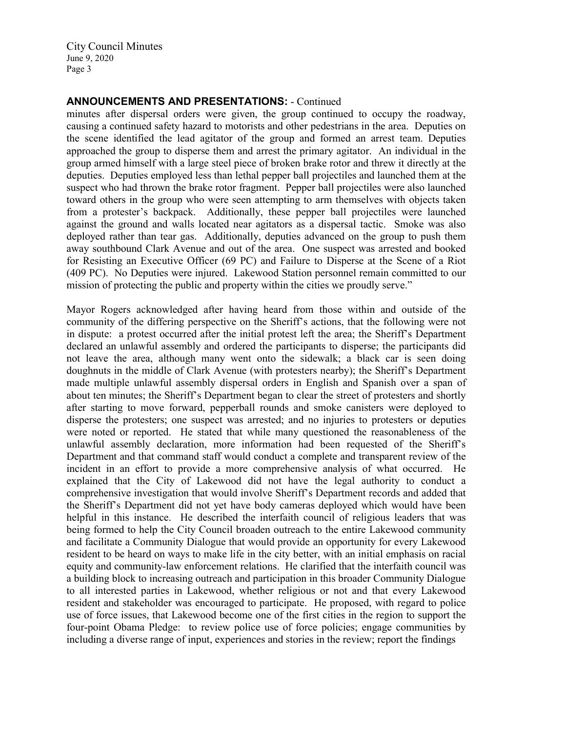## **ANNOUNCEMENTS AND PRESENTATIONS:** - Continued

minutes after dispersal orders were given, the group continued to occupy the roadway, causing a continued safety hazard to motorists and other pedestrians in the area. Deputies on the scene identified the lead agitator of the group and formed an arrest team. Deputies approached the group to disperse them and arrest the primary agitator. An individual in the group armed himself with a large steel piece of broken brake rotor and threw it directly at the deputies. Deputies employed less than lethal pepper ball projectiles and launched them at the suspect who had thrown the brake rotor fragment. Pepper ball projectiles were also launched toward others in the group who were seen attempting to arm themselves with objects taken from a protester's backpack. Additionally, these pepper ball projectiles were launched against the ground and walls located near agitators as a dispersal tactic. Smoke was also deployed rather than tear gas. Additionally, deputies advanced on the group to push them away southbound Clark Avenue and out of the area. One suspect was arrested and booked for Resisting an Executive Officer (69 PC) and Failure to Disperse at the Scene of a Riot (409 PC). No Deputies were injured. Lakewood Station personnel remain committed to our mission of protecting the public and property within the cities we proudly serve."

Mayor Rogers acknowledged after having heard from those within and outside of the community of the differing perspective on the Sheriff's actions, that the following were not in dispute: a protest occurred after the initial protest left the area; the Sheriff's Department declared an unlawful assembly and ordered the participants to disperse; the participants did not leave the area, although many went onto the sidewalk; a black car is seen doing doughnuts in the middle of Clark Avenue (with protesters nearby); the Sheriff's Department made multiple unlawful assembly dispersal orders in English and Spanish over a span of about ten minutes; the Sheriff's Department began to clear the street of protesters and shortly after starting to move forward, pepperball rounds and smoke canisters were deployed to disperse the protesters; one suspect was arrested; and no injuries to protesters or deputies were noted or reported. He stated that while many questioned the reasonableness of the unlawful assembly declaration, more information had been requested of the Sheriff's Department and that command staff would conduct a complete and transparent review of the incident in an effort to provide a more comprehensive analysis of what occurred. He explained that the City of Lakewood did not have the legal authority to conduct a comprehensive investigation that would involve Sheriff's Department records and added that the Sheriff's Department did not yet have body cameras deployed which would have been helpful in this instance. He described the interfaith council of religious leaders that was being formed to help the City Council broaden outreach to the entire Lakewood community and facilitate a Community Dialogue that would provide an opportunity for every Lakewood resident to be heard on ways to make life in the city better, with an initial emphasis on racial equity and community-law enforcement relations. He clarified that the interfaith council was a building block to increasing outreach and participation in this broader Community Dialogue to all interested parties in Lakewood, whether religious or not and that every Lakewood resident and stakeholder was encouraged to participate. He proposed, with regard to police use of force issues, that Lakewood become one of the first cities in the region to support the four-point Obama Pledge: to review police use of force policies; engage communities by including a diverse range of input, experiences and stories in the review; report the findings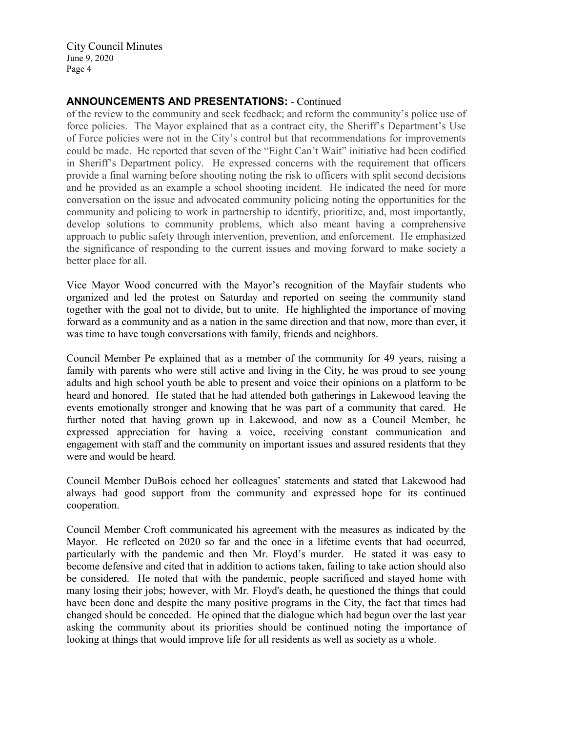## **ANNOUNCEMENTS AND PRESENTATIONS:** - Continued

of the review to the community and seek feedback; and reform the community's police use of force policies. The Mayor explained that as a contract city, the Sheriff's Department's Use of Force policies were not in the City's control but that recommendations for improvements could be made. He reported that seven of the "Eight Can't Wait" initiative had been codified in Sheriff's Department policy. He expressed concerns with the requirement that officers provide a final warning before shooting noting the risk to officers with split second decisions and he provided as an example a school shooting incident. He indicated the need for more conversation on the issue and advocated community policing noting the opportunities for the community and policing to work in partnership to identify, prioritize, and, most importantly, develop solutions to community problems, which also meant having a comprehensive approach to public safety through intervention, prevention, and enforcement. He emphasized the significance of responding to the current issues and moving forward to make society a better place for all.

Vice Mayor Wood concurred with the Mayor's recognition of the Mayfair students who organized and led the protest on Saturday and reported on seeing the community stand together with the goal not to divide, but to unite. He highlighted the importance of moving forward as a community and as a nation in the same direction and that now, more than ever, it was time to have tough conversations with family, friends and neighbors.

Council Member Pe explained that as a member of the community for 49 years, raising a family with parents who were still active and living in the City, he was proud to see young adults and high school youth be able to present and voice their opinions on a platform to be heard and honored. He stated that he had attended both gatherings in Lakewood leaving the events emotionally stronger and knowing that he was part of a community that cared. He further noted that having grown up in Lakewood, and now as a Council Member, he expressed appreciation for having a voice, receiving constant communication and engagement with staff and the community on important issues and assured residents that they were and would be heard.

Council Member DuBois echoed her colleagues' statements and stated that Lakewood had always had good support from the community and expressed hope for its continued cooperation.

Council Member Croft communicated his agreement with the measures as indicated by the Mayor. He reflected on 2020 so far and the once in a lifetime events that had occurred, particularly with the pandemic and then Mr. Floyd's murder. He stated it was easy to become defensive and cited that in addition to actions taken, failing to take action should also be considered. He noted that with the pandemic, people sacrificed and stayed home with many losing their jobs; however, with Mr. Floyd's death, he questioned the things that could have been done and despite the many positive programs in the City, the fact that times had changed should be conceded. He opined that the dialogue which had begun over the last year asking the community about its priorities should be continued noting the importance of looking at things that would improve life for all residents as well as society as a whole.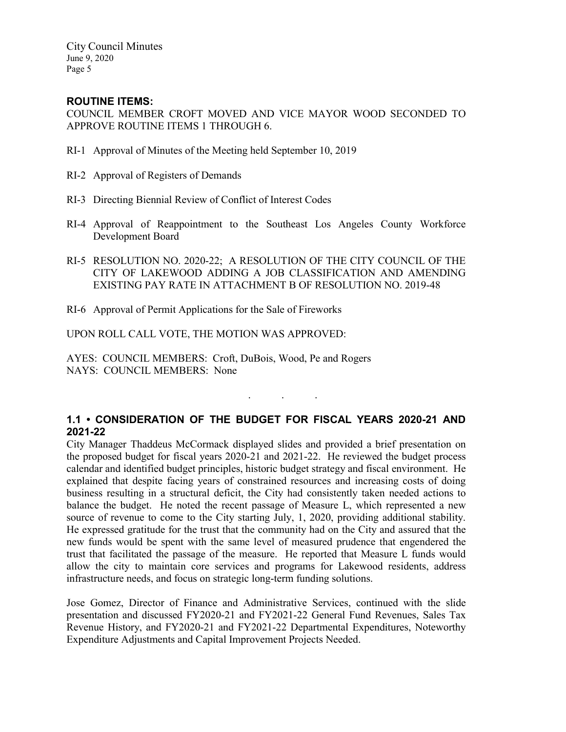## **ROUTINE ITEMS:**

COUNCIL MEMBER CROFT MOVED AND VICE MAYOR WOOD SECONDED TO APPROVE ROUTINE ITEMS 1 THROUGH 6.

- RI-1 Approval of Minutes of the Meeting held September 10, 2019
- RI-2 Approval of Registers of Demands
- RI-3 Directing Biennial Review of Conflict of Interest Codes
- RI-4 Approval of Reappointment to the Southeast Los Angeles County Workforce Development Board
- RI-5 RESOLUTION NO. 2020-22; A RESOLUTION OF THE CITY COUNCIL OF THE CITY OF LAKEWOOD ADDING A JOB CLASSIFICATION AND AMENDING EXISTING PAY RATE IN ATTACHMENT B OF RESOLUTION NO. 2019-48
- RI-6 Approval of Permit Applications for the Sale of Fireworks

UPON ROLL CALL VOTE, THE MOTION WAS APPROVED:

AYES: COUNCIL MEMBERS: Croft, DuBois, Wood, Pe and Rogers NAYS: COUNCIL MEMBERS: None

# **1.1 • CONSIDERATION OF THE BUDGET FOR FISCAL YEARS 2020-21 AND 2021-22**

. . .

City Manager Thaddeus McCormack displayed slides and provided a brief presentation on the proposed budget for fiscal years 2020-21 and 2021-22. He reviewed the budget process calendar and identified budget principles, historic budget strategy and fiscal environment. He explained that despite facing years of constrained resources and increasing costs of doing business resulting in a structural deficit, the City had consistently taken needed actions to balance the budget. He noted the recent passage of Measure L, which represented a new source of revenue to come to the City starting July, 1, 2020, providing additional stability. He expressed gratitude for the trust that the community had on the City and assured that the new funds would be spent with the same level of measured prudence that engendered the trust that facilitated the passage of the measure. He reported that Measure L funds would allow the city to maintain core services and programs for Lakewood residents, address infrastructure needs, and focus on strategic long-term funding solutions.

Jose Gomez, Director of Finance and Administrative Services, continued with the slide presentation and discussed FY2020-21 and FY2021-22 General Fund Revenues, Sales Tax Revenue History, and FY2020-21 and FY2021-22 Departmental Expenditures, Noteworthy Expenditure Adjustments and Capital Improvement Projects Needed.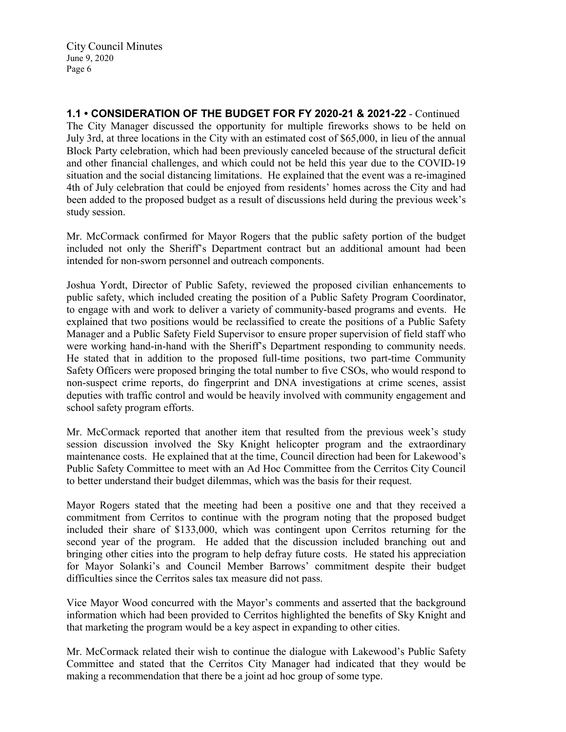**1.1 • CONSIDERATION OF THE BUDGET FOR FY 2020-21 & 2021-22** - Continued The City Manager discussed the opportunity for multiple fireworks shows to be held on July 3rd, at three locations in the City with an estimated cost of \$65,000, in lieu of the annual Block Party celebration, which had been previously canceled because of the structural deficit and other financial challenges, and which could not be held this year due to the COVID-19 situation and the social distancing limitations. He explained that the event was a re-imagined 4th of July celebration that could be enjoyed from residents' homes across the City and had been added to the proposed budget as a result of discussions held during the previous week's study session.

Mr. McCormack confirmed for Mayor Rogers that the public safety portion of the budget included not only the Sheriff's Department contract but an additional amount had been intended for non-sworn personnel and outreach components.

Joshua Yordt, Director of Public Safety, reviewed the proposed civilian enhancements to public safety, which included creating the position of a Public Safety Program Coordinator, to engage with and work to deliver a variety of community-based programs and events. He explained that two positions would be reclassified to create the positions of a Public Safety Manager and a Public Safety Field Supervisor to ensure proper supervision of field staff who were working hand-in-hand with the Sheriff's Department responding to community needs. He stated that in addition to the proposed full-time positions, two part-time Community Safety Officers were proposed bringing the total number to five CSOs, who would respond to non-suspect crime reports, do fingerprint and DNA investigations at crime scenes, assist deputies with traffic control and would be heavily involved with community engagement and school safety program efforts.

Mr. McCormack reported that another item that resulted from the previous week's study session discussion involved the Sky Knight helicopter program and the extraordinary maintenance costs. He explained that at the time, Council direction had been for Lakewood's Public Safety Committee to meet with an Ad Hoc Committee from the Cerritos City Council to better understand their budget dilemmas, which was the basis for their request.

Mayor Rogers stated that the meeting had been a positive one and that they received a commitment from Cerritos to continue with the program noting that the proposed budget included their share of \$133,000, which was contingent upon Cerritos returning for the second year of the program. He added that the discussion included branching out and bringing other cities into the program to help defray future costs. He stated his appreciation for Mayor Solanki's and Council Member Barrows' commitment despite their budget difficulties since the Cerritos sales tax measure did not pass.

Vice Mayor Wood concurred with the Mayor's comments and asserted that the background information which had been provided to Cerritos highlighted the benefits of Sky Knight and that marketing the program would be a key aspect in expanding to other cities.

Mr. McCormack related their wish to continue the dialogue with Lakewood's Public Safety Committee and stated that the Cerritos City Manager had indicated that they would be making a recommendation that there be a joint ad hoc group of some type.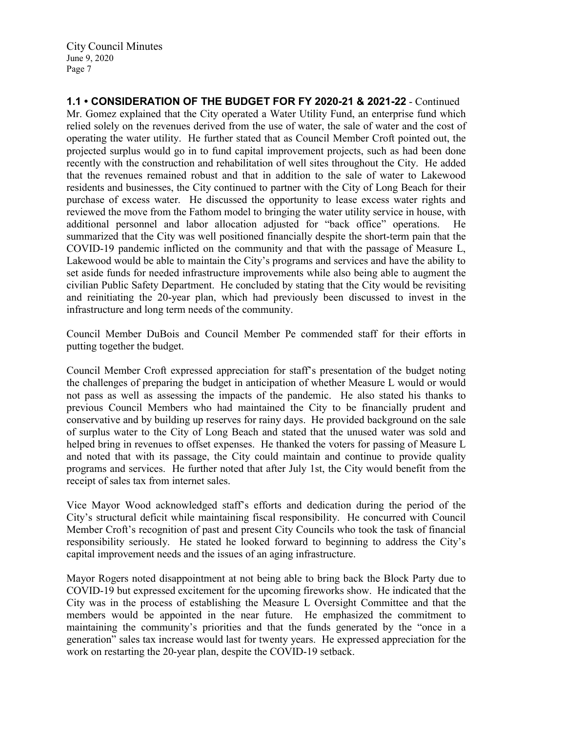**1.1 • CONSIDERATION OF THE BUDGET FOR FY 2020-21 & 2021-22** - Continued Mr. Gomez explained that the City operated a Water Utility Fund, an enterprise fund which relied solely on the revenues derived from the use of water, the sale of water and the cost of operating the water utility. He further stated that as Council Member Croft pointed out, the projected surplus would go in to fund capital improvement projects, such as had been done recently with the construction and rehabilitation of well sites throughout the City. He added that the revenues remained robust and that in addition to the sale of water to Lakewood residents and businesses, the City continued to partner with the City of Long Beach for their purchase of excess water. He discussed the opportunity to lease excess water rights and reviewed the move from the Fathom model to bringing the water utility service in house, with additional personnel and labor allocation adjusted for "back office" operations. He summarized that the City was well positioned financially despite the short-term pain that the COVID-19 pandemic inflicted on the community and that with the passage of Measure L, Lakewood would be able to maintain the City's programs and services and have the ability to set aside funds for needed infrastructure improvements while also being able to augment the civilian Public Safety Department. He concluded by stating that the City would be revisiting and reinitiating the 20-year plan, which had previously been discussed to invest in the infrastructure and long term needs of the community.

Council Member DuBois and Council Member Pe commended staff for their efforts in putting together the budget.

Council Member Croft expressed appreciation for staff's presentation of the budget noting the challenges of preparing the budget in anticipation of whether Measure L would or would not pass as well as assessing the impacts of the pandemic. He also stated his thanks to previous Council Members who had maintained the City to be financially prudent and conservative and by building up reserves for rainy days. He provided background on the sale of surplus water to the City of Long Beach and stated that the unused water was sold and helped bring in revenues to offset expenses. He thanked the voters for passing of Measure L and noted that with its passage, the City could maintain and continue to provide quality programs and services. He further noted that after July 1st, the City would benefit from the receipt of sales tax from internet sales.

Vice Mayor Wood acknowledged staff's efforts and dedication during the period of the City's structural deficit while maintaining fiscal responsibility. He concurred with Council Member Croft's recognition of past and present City Councils who took the task of financial responsibility seriously. He stated he looked forward to beginning to address the City's capital improvement needs and the issues of an aging infrastructure.

Mayor Rogers noted disappointment at not being able to bring back the Block Party due to COVID-19 but expressed excitement for the upcoming fireworks show. He indicated that the City was in the process of establishing the Measure L Oversight Committee and that the members would be appointed in the near future. He emphasized the commitment to maintaining the community's priorities and that the funds generated by the "once in a generation" sales tax increase would last for twenty years. He expressed appreciation for the work on restarting the 20-year plan, despite the COVID-19 setback.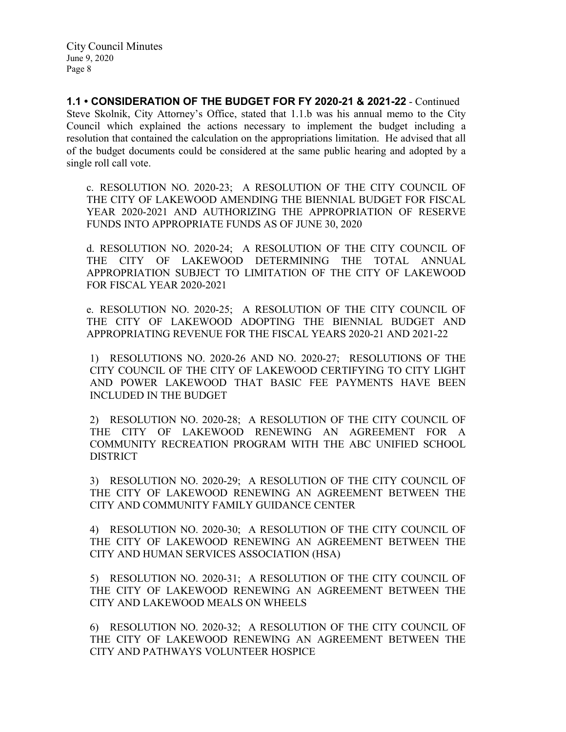**1.1 • CONSIDERATION OF THE BUDGET FOR FY 2020-21 & 2021-22** - Continued Steve Skolnik, City Attorney's Office, stated that 1.1.b was his annual memo to the City Council which explained the actions necessary to implement the budget including a resolution that contained the calculation on the appropriations limitation. He advised that all of the budget documents could be considered at the same public hearing and adopted by a single roll call vote.

c. RESOLUTION NO. 2020-23; A RESOLUTION OF THE CITY COUNCIL OF THE CITY OF LAKEWOOD AMENDING THE BIENNIAL BUDGET FOR FISCAL YEAR 2020-2021 AND AUTHORIZING THE APPROPRIATION OF RESERVE FUNDS INTO APPROPRIATE FUNDS AS OF JUNE 30, 2020

d. RESOLUTION NO. 2020-24; A RESOLUTION OF THE CITY COUNCIL OF THE CITY OF LAKEWOOD DETERMINING THE TOTAL ANNUAL APPROPRIATION SUBJECT TO LIMITATION OF THE CITY OF LAKEWOOD FOR FISCAL YEAR 2020-2021

e. RESOLUTION NO. 2020-25; A RESOLUTION OF THE CITY COUNCIL OF THE CITY OF LAKEWOOD ADOPTING THE BIENNIAL BUDGET AND APPROPRIATING REVENUE FOR THE FISCAL YEARS 2020-21 AND 2021-22

1) RESOLUTIONS NO. 2020-26 AND NO. 2020-27; RESOLUTIONS OF THE CITY COUNCIL OF THE CITY OF LAKEWOOD CERTIFYING TO CITY LIGHT AND POWER LAKEWOOD THAT BASIC FEE PAYMENTS HAVE BEEN INCLUDED IN THE BUDGET

2) RESOLUTION NO. 2020-28; A RESOLUTION OF THE CITY COUNCIL OF THE CITY OF LAKEWOOD RENEWING AN AGREEMENT FOR A COMMUNITY RECREATION PROGRAM WITH THE ABC UNIFIED SCHOOL **DISTRICT** 

3) RESOLUTION NO. 2020-29; A RESOLUTION OF THE CITY COUNCIL OF THE CITY OF LAKEWOOD RENEWING AN AGREEMENT BETWEEN THE CITY AND COMMUNITY FAMILY GUIDANCE CENTER

4) RESOLUTION NO. 2020-30; A RESOLUTION OF THE CITY COUNCIL OF THE CITY OF LAKEWOOD RENEWING AN AGREEMENT BETWEEN THE CITY AND HUMAN SERVICES ASSOCIATION (HSA)

5) RESOLUTION NO. 2020-31; A RESOLUTION OF THE CITY COUNCIL OF THE CITY OF LAKEWOOD RENEWING AN AGREEMENT BETWEEN THE CITY AND LAKEWOOD MEALS ON WHEELS

6) RESOLUTION NO. 2020-32; A RESOLUTION OF THE CITY COUNCIL OF THE CITY OF LAKEWOOD RENEWING AN AGREEMENT BETWEEN THE CITY AND PATHWAYS VOLUNTEER HOSPICE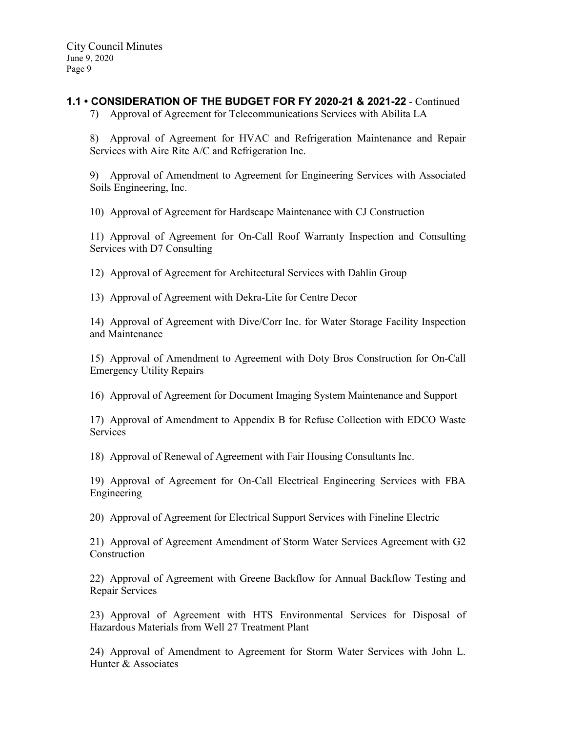# **1.1 • CONSIDERATION OF THE BUDGET FOR FY 2020-21 & 2021-22** - Continued

7) Approval of Agreement for Telecommunications Services with Abilita LA

8) Approval of Agreement for HVAC and Refrigeration Maintenance and Repair Services with Aire Rite A/C and Refrigeration Inc.

9) Approval of Amendment to Agreement for Engineering Services with Associated Soils Engineering, Inc.

10) Approval of Agreement for Hardscape Maintenance with CJ Construction

11) Approval of Agreement for On-Call Roof Warranty Inspection and Consulting Services with D7 Consulting

12) Approval of Agreement for Architectural Services with Dahlin Group

13) Approval of Agreement with Dekra-Lite for Centre Decor

14) Approval of Agreement with Dive/Corr Inc. for Water Storage Facility Inspection and Maintenance

15) Approval of Amendment to Agreement with Doty Bros Construction for On-Call Emergency Utility Repairs

16) Approval of Agreement for Document Imaging System Maintenance and Support

17) Approval of Amendment to Appendix B for Refuse Collection with EDCO Waste Services

18) Approval of Renewal of Agreement with Fair Housing Consultants Inc.

19) Approval of Agreement for On-Call Electrical Engineering Services with FBA Engineering

20) Approval of Agreement for Electrical Support Services with Fineline Electric

21) Approval of Agreement Amendment of Storm Water Services Agreement with G2 Construction

22) Approval of Agreement with Greene Backflow for Annual Backflow Testing and Repair Services

23) Approval of Agreement with HTS Environmental Services for Disposal of Hazardous Materials from Well 27 Treatment Plant

24) Approval of Amendment to Agreement for Storm Water Services with John L. Hunter & Associates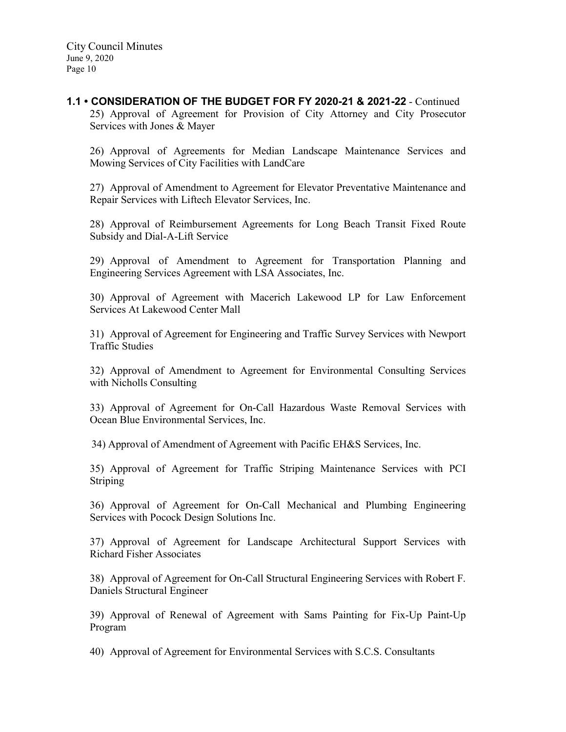#### **1.1 • CONSIDERATION OF THE BUDGET FOR FY 2020-21 & 2021-22** - Continued 25) Approval of Agreement for Provision of City Attorney and City Prosecutor Services with Jones & Mayer

26) Approval of Agreements for Median Landscape Maintenance Services and Mowing Services of City Facilities with LandCare

27) Approval of Amendment to Agreement for Elevator Preventative Maintenance and Repair Services with Liftech Elevator Services, Inc.

28) Approval of Reimbursement Agreements for Long Beach Transit Fixed Route Subsidy and Dial-A-Lift Service

29) Approval of Amendment to Agreement for Transportation Planning and Engineering Services Agreement with LSA Associates, Inc.

30) Approval of Agreement with Macerich Lakewood LP for Law Enforcement Services At Lakewood Center Mall

31) Approval of Agreement for Engineering and Traffic Survey Services with Newport Traffic Studies

32) Approval of Amendment to Agreement for Environmental Consulting Services with Nicholls Consulting

33) Approval of Agreement for On-Call Hazardous Waste Removal Services with Ocean Blue Environmental Services, Inc.

34) Approval of Amendment of Agreement with Pacific EH&S Services, Inc.

35) Approval of Agreement for Traffic Striping Maintenance Services with PCI Striping

36) Approval of Agreement for On-Call Mechanical and Plumbing Engineering Services with Pocock Design Solutions Inc.

37) Approval of Agreement for Landscape Architectural Support Services with Richard Fisher Associates

38) Approval of Agreement for On-Call Structural Engineering Services with Robert F. Daniels Structural Engineer

39) Approval of Renewal of Agreement with Sams Painting for Fix-Up Paint-Up Program

40) Approval of Agreement for Environmental Services with S.C.S. Consultants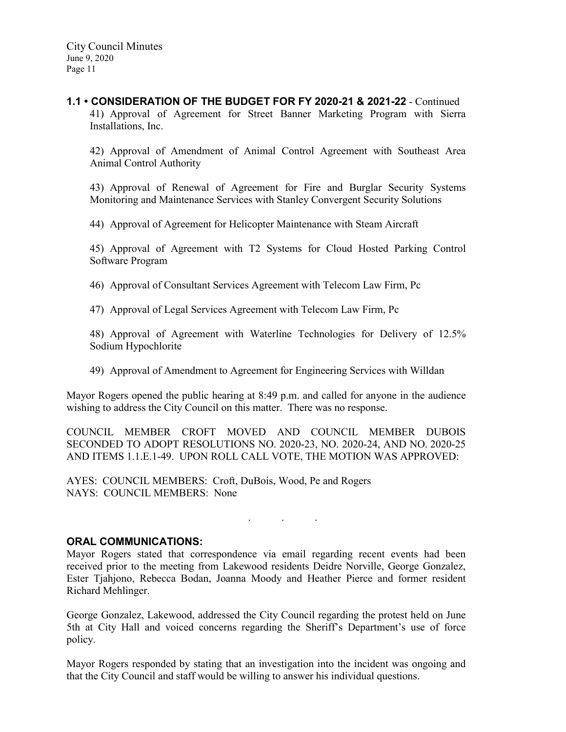**1.1 • CONSIDERATION OF THE BUDGET FOR FY 2020-21 & 2021-22** - Continued 41) Approval of Agreement for Street Banner Marketing Program with Sierra Installations, Inc.

42) Approval of Amendment of Animal Control Agreement with Southeast Area Animal Control Authority

43) Approval of Renewal of Agreement for Fire and Burglar Security Systems Monitoring and Maintenance Services with Stanley Convergent Security Solutions

44) Approval of Agreement for Helicopter Maintenance with Steam Aircraft

45) Approval of Agreement with T2 Systems for Cloud Hosted Parking Control Software Program

46) Approval of Consultant Services Agreement with Telecom Law Firm, Pc

47) Approval of Legal Services Agreement with Telecom Law Firm, Pc

48) Approval of Agreement with Waterline Technologies for Delivery of 12.5% Sodium Hypochlorite

49) Approval of Amendment to Agreement for Engineering Services with Willdan

Mayor Rogers opened the public hearing at 8:49 p.m. and called for anyone in the audience wishing to address the City Council on this matter. There was no response.

COUNCIL MEMBER CROFT MOVED AND COUNCIL MEMBER DUBOIS SECONDED TO ADOPT RESOLUTIONS NO. 2020-23, NO. 2020-24, AND NO. 2020-25 AND ITEMS 1.1.E.1-49. UPON ROLL CALL VOTE, THE MOTION WAS APPROVED:

AYES: COUNCIL MEMBERS: Croft, DuBois, Wood, Pe and Rogers NAYS: COUNCIL MEMBERS: None

#### **ORAL COMMUNICATIONS:**

Mayor Rogers stated that correspondence via email regarding recent events had been received prior to the meeting from Lakewood residents Deidre Norville, George Gonzalez, Ester Tjahjono, Rebecca Bodan, Joanna Moody and Heather Pierce and former resident Richard Mehlinger.

. . .

George Gonzalez, Lakewood, addressed the City Council regarding the protest held on June 5th at City Hall and voiced concerns regarding the Sheriff's Department's use of force policy.

Mayor Rogers responded by stating that an investigation into the incident was ongoing and that the City Council and staff would be willing to answer his individual questions.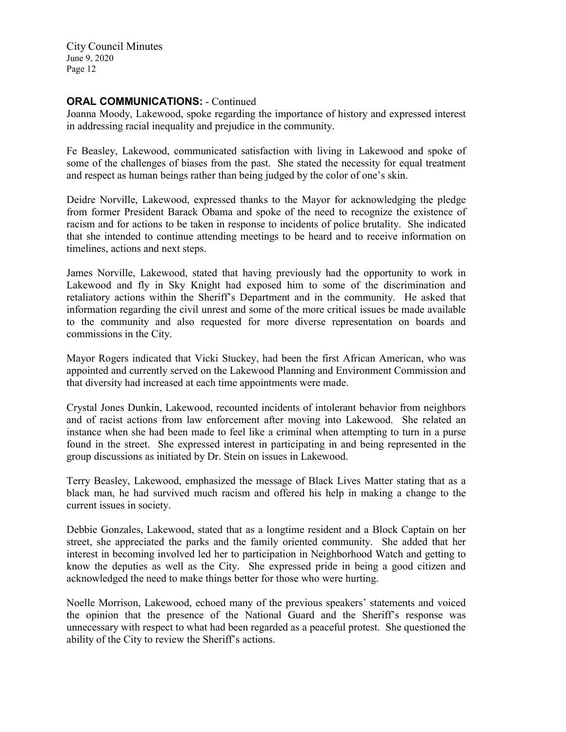## **ORAL COMMUNICATIONS: - Continued**

Joanna Moody, Lakewood, spoke regarding the importance of history and expressed interest in addressing racial inequality and prejudice in the community.

Fe Beasley, Lakewood, communicated satisfaction with living in Lakewood and spoke of some of the challenges of biases from the past. She stated the necessity for equal treatment and respect as human beings rather than being judged by the color of one's skin.

Deidre Norville, Lakewood, expressed thanks to the Mayor for acknowledging the pledge from former President Barack Obama and spoke of the need to recognize the existence of racism and for actions to be taken in response to incidents of police brutality. She indicated that she intended to continue attending meetings to be heard and to receive information on timelines, actions and next steps.

James Norville, Lakewood, stated that having previously had the opportunity to work in Lakewood and fly in Sky Knight had exposed him to some of the discrimination and retaliatory actions within the Sheriff's Department and in the community. He asked that information regarding the civil unrest and some of the more critical issues be made available to the community and also requested for more diverse representation on boards and commissions in the City.

Mayor Rogers indicated that Vicki Stuckey, had been the first African American, who was appointed and currently served on the Lakewood Planning and Environment Commission and that diversity had increased at each time appointments were made.

Crystal Jones Dunkin, Lakewood, recounted incidents of intolerant behavior from neighbors and of racist actions from law enforcement after moving into Lakewood. She related an instance when she had been made to feel like a criminal when attempting to turn in a purse found in the street. She expressed interest in participating in and being represented in the group discussions as initiated by Dr. Stein on issues in Lakewood.

Terry Beasley, Lakewood, emphasized the message of Black Lives Matter stating that as a black man, he had survived much racism and offered his help in making a change to the current issues in society.

Debbie Gonzales, Lakewood, stated that as a longtime resident and a Block Captain on her street, she appreciated the parks and the family oriented community. She added that her interest in becoming involved led her to participation in Neighborhood Watch and getting to know the deputies as well as the City. She expressed pride in being a good citizen and acknowledged the need to make things better for those who were hurting.

Noelle Morrison, Lakewood, echoed many of the previous speakers' statements and voiced the opinion that the presence of the National Guard and the Sheriff's response was unnecessary with respect to what had been regarded as a peaceful protest. She questioned the ability of the City to review the Sheriff's actions.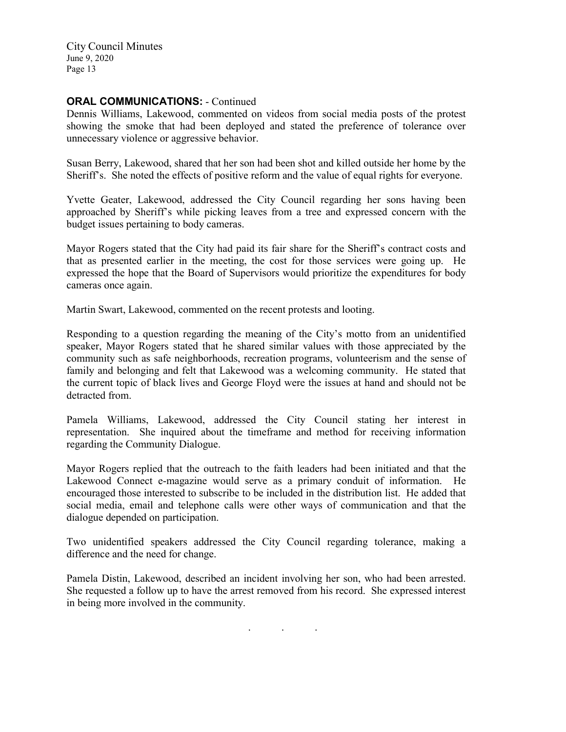#### **ORAL COMMUNICATIONS: - Continued**

Dennis Williams, Lakewood, commented on videos from social media posts of the protest showing the smoke that had been deployed and stated the preference of tolerance over unnecessary violence or aggressive behavior.

Susan Berry, Lakewood, shared that her son had been shot and killed outside her home by the Sheriff's. She noted the effects of positive reform and the value of equal rights for everyone.

Yvette Geater, Lakewood, addressed the City Council regarding her sons having been approached by Sheriff's while picking leaves from a tree and expressed concern with the budget issues pertaining to body cameras.

Mayor Rogers stated that the City had paid its fair share for the Sheriff's contract costs and that as presented earlier in the meeting, the cost for those services were going up. He expressed the hope that the Board of Supervisors would prioritize the expenditures for body cameras once again.

Martin Swart, Lakewood, commented on the recent protests and looting.

Responding to a question regarding the meaning of the City's motto from an unidentified speaker, Mayor Rogers stated that he shared similar values with those appreciated by the community such as safe neighborhoods, recreation programs, volunteerism and the sense of family and belonging and felt that Lakewood was a welcoming community. He stated that the current topic of black lives and George Floyd were the issues at hand and should not be detracted from.

Pamela Williams, Lakewood, addressed the City Council stating her interest in representation. She inquired about the timeframe and method for receiving information regarding the Community Dialogue.

Mayor Rogers replied that the outreach to the faith leaders had been initiated and that the Lakewood Connect e-magazine would serve as a primary conduit of information. He encouraged those interested to subscribe to be included in the distribution list. He added that social media, email and telephone calls were other ways of communication and that the dialogue depended on participation.

Two unidentified speakers addressed the City Council regarding tolerance, making a difference and the need for change.

Pamela Distin, Lakewood, described an incident involving her son, who had been arrested. She requested a follow up to have the arrest removed from his record. She expressed interest in being more involved in the community.

. . .